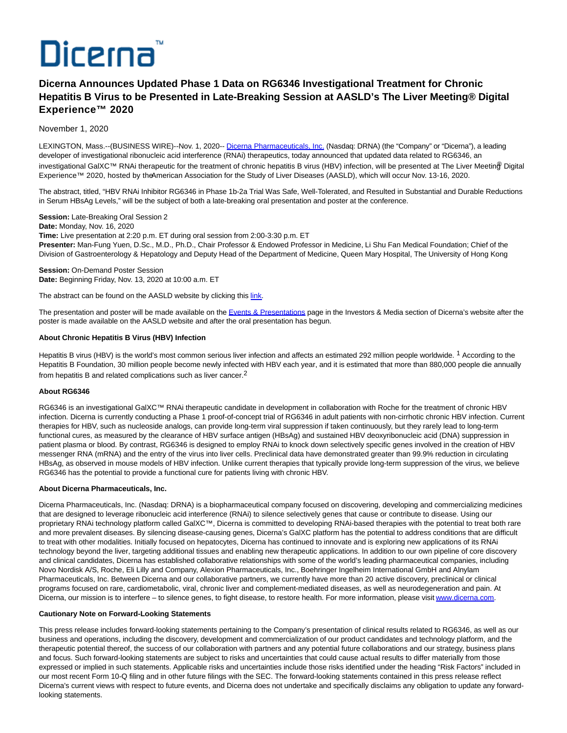

# **Dicerna Announces Updated Phase 1 Data on RG6346 Investigational Treatment for Chronic Hepatitis B Virus to be Presented in Late-Breaking Session at AASLD's The Liver Meeting® Digital Experience™ 2020**

November 1, 2020

LEXINGTON, Mass.--(BUSINESS WIRE)--Nov. 1, 2020-- [Dicerna Pharmaceuticals, Inc. \(](https://cts.businesswire.com/ct/CT?id=smartlink&url=http%3A%2F%2Fwww.dicerna.com&esheet=52317997&newsitemid=20201101005032&lan=en-US&anchor=Dicerna+Pharmaceuticals%2C+Inc.&index=1&md5=d3e57643c16dda0e2e95a5c5d377c7aa)Nasdaq: DRNA) (the "Company" or "Dicerna"), a leading developer of investigational ribonucleic acid interference (RNAi) therapeutics, today announced that updated data related to RG6346, an investigational GalXC™ RNAi therapeutic for the treatment of chronic hepatitis B virus (HBV) infection, will be presented at The Liver Meetin<sup>®</sup> Digital Experience™ 2020, hosted by the American Association for the Study of Liver Diseases (AASLD), which will occur Nov. 13-16, 2020.

The abstract, titled, "HBV RNAi Inhibitor RG6346 in Phase 1b-2a Trial Was Safe, Well-Tolerated, and Resulted in Substantial and Durable Reductions in Serum HBsAg Levels," will be the subject of both a late-breaking oral presentation and poster at the conference.

**Session:** Late-Breaking Oral Session 2

**Date:** Monday, Nov. 16, 2020

**Time:** Live presentation at 2:20 p.m. ET during oral session from 2:00-3:30 p.m. ET

**Presenter:** Man-Fung Yuen, D.Sc., M.D., Ph.D., Chair Professor & Endowed Professor in Medicine, Li Shu Fan Medical Foundation; Chief of the Division of Gastroenterology & Hepatology and Deputy Head of the Department of Medicine, Queen Mary Hospital, The University of Hong Kong

**Session: On-Demand Poster Session Date:** Beginning Friday, Nov. 13, 2020 at 10:00 a.m. ET

The abstract can be found on the AASLD website by clicking this [link.](https://cts.businesswire.com/ct/CT?id=smartlink&url=https%3A%2F%2Fassets.website-files.com%2F5f3d77cd56d46907a50fb8d9%2F5f9d9c2057efc43f55b78db7_2020%2520TLMdX%2520Late-breaking%2520Abstracts-%2520Oct%252030.pdf&esheet=52317997&newsitemid=20201101005032&lan=en-US&anchor=link&index=2&md5=4c137e28a1fc972bf9d60ef46073c32c)

The presentation and poster will be made available on th[e Events & Presentations p](https://cts.businesswire.com/ct/CT?id=smartlink&url=https%3A%2F%2Finvestors.dicerna.com%2Fevents-presentations&esheet=52317997&newsitemid=20201101005032&lan=en-US&anchor=Events+%26amp%3B+Presentations&index=3&md5=da235000eba47d7849c2a3eb0d68ac79)age in the Investors & Media section of Dicerna's website after the poster is made available on the AASLD website and after the oral presentation has begun.

## **About Chronic Hepatitis B Virus (HBV) Infection**

Hepatitis B virus (HBV) is the world's most common serious liver infection and affects an estimated 292 million people worldwide. <sup>1</sup> According to the Hepatitis B Foundation, 30 million people become newly infected with HBV each year, and it is estimated that more than 880,000 people die annually from hepatitis B and related complications such as liver cancer.2

### **About RG6346**

RG6346 is an investigational GalXC™ RNAi therapeutic candidate in development in collaboration with Roche for the treatment of chronic HBV infection. Dicerna is currently conducting a Phase 1 proof-of-concept trial of RG6346 in adult patients with non-cirrhotic chronic HBV infection. Current therapies for HBV, such as nucleoside analogs, can provide long-term viral suppression if taken continuously, but they rarely lead to long-term functional cures, as measured by the clearance of HBV surface antigen (HBsAg) and sustained HBV deoxyribonucleic acid (DNA) suppression in patient plasma or blood. By contrast, RG6346 is designed to employ RNAi to knock down selectively specific genes involved in the creation of HBV messenger RNA (mRNA) and the entry of the virus into liver cells. Preclinical data have demonstrated greater than 99.9% reduction in circulating HBsAg, as observed in mouse models of HBV infection. Unlike current therapies that typically provide long-term suppression of the virus, we believe RG6346 has the potential to provide a functional cure for patients living with chronic HBV.

### **About Dicerna Pharmaceuticals, Inc.**

Dicerna Pharmaceuticals, Inc. (Nasdaq: DRNA) is a biopharmaceutical company focused on discovering, developing and commercializing medicines that are designed to leverage ribonucleic acid interference (RNAi) to silence selectively genes that cause or contribute to disease. Using our proprietary RNAi technology platform called GalXC™, Dicerna is committed to developing RNAi-based therapies with the potential to treat both rare and more prevalent diseases. By silencing disease-causing genes, Dicerna's GalXC platform has the potential to address conditions that are difficult to treat with other modalities. Initially focused on hepatocytes, Dicerna has continued to innovate and is exploring new applications of its RNAi technology beyond the liver, targeting additional tissues and enabling new therapeutic applications. In addition to our own pipeline of core discovery and clinical candidates, Dicerna has established collaborative relationships with some of the world's leading pharmaceutical companies, including Novo Nordisk A/S, Roche, Eli Lilly and Company, Alexion Pharmaceuticals, Inc., Boehringer Ingelheim International GmbH and Alnylam Pharmaceuticals, Inc. Between Dicerna and our collaborative partners, we currently have more than 20 active discovery, preclinical or clinical programs focused on rare, cardiometabolic, viral, chronic liver and complement-mediated diseases, as well as neurodegeneration and pain. At Dicerna, our mission is to interfere – to silence genes, to fight disease, to restore health. For more information, please visi[t www.dicerna.com.](https://cts.businesswire.com/ct/CT?id=smartlink&url=http%3A%2F%2Fwww.dicerna.com&esheet=52317997&newsitemid=20201101005032&lan=en-US&anchor=www.dicerna.com&index=4&md5=2303f1c9bbb5c8ee58b90d5aa23eb085)

#### **Cautionary Note on Forward-Looking Statements**

This press release includes forward-looking statements pertaining to the Company's presentation of clinical results related to RG6346, as well as our business and operations, including the discovery, development and commercialization of our product candidates and technology platform, and the therapeutic potential thereof, the success of our collaboration with partners and any potential future collaborations and our strategy, business plans and focus. Such forward-looking statements are subject to risks and uncertainties that could cause actual results to differ materially from those expressed or implied in such statements. Applicable risks and uncertainties include those risks identified under the heading "Risk Factors" included in our most recent Form 10-Q filing and in other future filings with the SEC. The forward-looking statements contained in this press release reflect Dicerna's current views with respect to future events, and Dicerna does not undertake and specifically disclaims any obligation to update any forwardlooking statements.